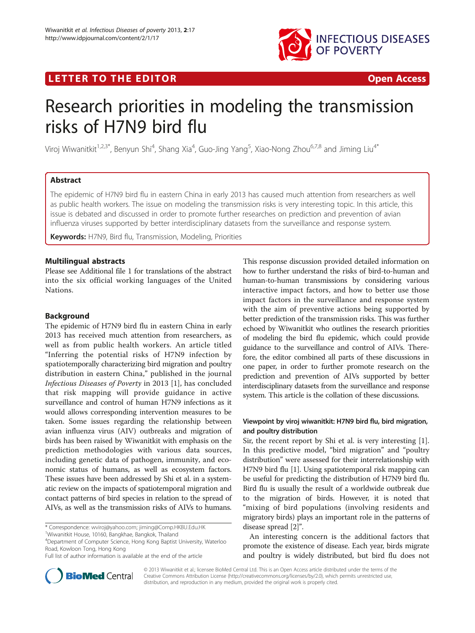

# LETTER TO THE EDITOR **CONSIDERATION** CONSIDERING A SAFETY CONSIDERATION CONSIDERED ASSAULT ON A SAFETY OF THE SAFETY



# Research priorities in modeling the transmission risks of H7N9 bird flu

Viroj Wiwanitkit<sup>1,2,3\*</sup>, Benyun Shi<sup>4</sup>, Shang Xia<sup>4</sup>, Guo-Jing Yang<sup>5</sup>, Xiao-Nong Zhou<sup>6,7,8</sup> and Jiming Liu<sup>4\*</sup>

# Abstract

The epidemic of H7N9 bird flu in eastern China in early 2013 has caused much attention from researchers as well as public health workers. The issue on modeling the transmission risks is very interesting topic. In this article, this issue is debated and discussed in order to promote further researches on prediction and prevention of avian influenza viruses supported by better interdisciplinary datasets from the surveillance and response system.

Keywords: H7N9, Bird flu, Transmission, Modeling, Priorities

## Multilingual abstracts

Please see Additional file [1](#page-4-0) for translations of the abstract into the six official working languages of the United Nations.

#### Background

The epidemic of H7N9 bird flu in eastern China in early 2013 has received much attention from researchers, as well as from public health workers. An article titled "Inferring the potential risks of H7N9 infection by spatiotemporally characterizing bird migration and poultry distribution in eastern China," published in the journal Infectious Diseases of Poverty in 2013 [[1\]](#page-4-0), has concluded that risk mapping will provide guidance in active surveillance and control of human H7N9 infections as it would allows corresponding intervention measures to be taken. Some issues regarding the relationship between avian influenza virus (AIV) outbreaks and migration of birds has been raised by Wiwanitkit with emphasis on the prediction methodologies with various data sources, including genetic data of pathogen, immunity, and economic status of humans, as well as ecosystem factors. These issues have been addressed by Shi et al. in a systematic review on the impacts of spatiotemporal migration and contact patterns of bird species in relation to the spread of AIVs, as well as the transmission risks of AIVs to humans.

\* Correspondence: [wviroj@yahoo.com](mailto:wviroj@yahoo.com); [jiming@Comp.HKBU.Edu.HK](mailto:jiming@Comp.HKBU.Edu.HK) <sup>1</sup>

4 Department of Computer Science, Hong Kong Baptist University, Waterloo Road, Kowloon Tong, Hong Kong

This response discussion provided detailed information on how to further understand the risks of bird-to-human and human-to-human transmissions by considering various interactive impact factors, and how to better use those impact factors in the surveillance and response system with the aim of preventive actions being supported by better prediction of the transmission risks. This was further echoed by Wiwanitkit who outlines the research priorities of modeling the bird flu epidemic, which could provide guidance to the surveillance and control of AIVs. Therefore, the editor combined all parts of these discussions in one paper, in order to further promote research on the prediction and prevention of AIVs supported by better interdisciplinary datasets from the surveillance and response system. This article is the collation of these discussions.

## Viewpoint by viroj wiwanitkit: H7N9 bird flu, bird migration, and poultry distribution

Sir, the recent report by Shi et al. is very interesting [\[1](#page-4-0)]. In this predictive model, "bird migration" and "poultry distribution" were assessed for their interrelationship with H7N9 bird flu [[1](#page-4-0)]. Using spatiotemporal risk mapping can be useful for predicting the distribution of H7N9 bird flu. Bird flu is usually the result of a worldwide outbreak due to the migration of birds. However, it is noted that "mixing of bird populations (involving residents and migratory birds) plays an important role in the patterns of disease spread [\[2](#page-4-0)]".

An interesting concern is the additional factors that promote the existence of disease. Each year, birds migrate and poultry is widely distributed, but bird flu does not



© 2013 Wiwanitkit et al.; licensee BioMed Central Ltd. This is an Open Access article distributed under the terms of the Creative Commons Attribution License (<http://creativecommons.org/licenses/by/2.0>), which permits unrestricted use, distribution, and reproduction in any medium, provided the original work is properly cited.

Wiwanitkit House, 10160, Bangkhae, Bangkok, Thailand

Full list of author information is available at the end of the article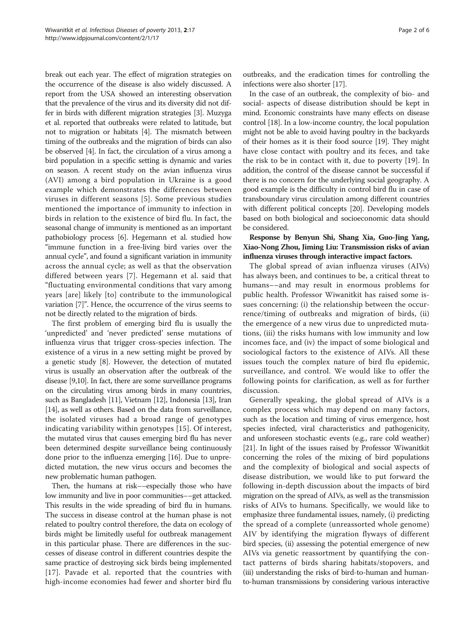break out each year. The effect of migration strategies on the occurrence of the disease is also widely discussed. A report from the USA showed an interesting observation that the prevalence of the virus and its diversity did not differ in birds with different migration strategies [\[3\]](#page-4-0). Muzyga et al. reported that outbreaks were related to latitude, but not to migration or habitats [\[4](#page-4-0)]. The mismatch between timing of the outbreaks and the migration of birds can also be observed [[4](#page-4-0)]. In fact, the circulation of a virus among a bird population in a specific setting is dynamic and varies on season. A recent study on the avian influenza virus (AVI) among a bird population in Ukraine is a good example which demonstrates the differences between viruses in different seasons [\[5](#page-4-0)]. Some previous studies mentioned the importance of immunity to infection in birds in relation to the existence of bird flu. In fact, the seasonal change of immunity is mentioned as an important pathobiology process [[6\]](#page-4-0). Hegemann et al. studied how "immune function in a free-living bird varies over the annual cycle", and found a significant variation in immunity across the annual cycle; as well as that the observation differed between years [[7\]](#page-4-0). Hegemann et al. said that "fluctuating environmental conditions that vary among years [are] likely [to] contribute to the immunological variation [[7](#page-4-0)]". Hence, the occurrence of the virus seems to not be directly related to the migration of birds.

The first problem of emerging bird flu is usually the 'unpredicted' and 'never predicted' sense mutations of influenza virus that trigger cross-species infection. The existence of a virus in a new setting might be proved by a genetic study [\[8](#page-4-0)]. However, the detection of mutated virus is usually an observation after the outbreak of the disease [[9,10\]](#page-4-0). In fact, there are some surveillance programs on the circulating virus among birds in many countries, such as Bangladesh [\[11](#page-4-0)], Vietnam [[12\]](#page-4-0), Indonesia [\[13](#page-4-0)], Iran [[14](#page-4-0)], as well as others. Based on the data from surveillance, the isolated viruses had a broad range of genotypes indicating variability within genotypes [[15](#page-4-0)]. Of interest, the mutated virus that causes emerging bird flu has never been determined despite surveillance being continuously done prior to the influenza emerging [[16\]](#page-4-0). Due to unpredicted mutation, the new virus occurs and becomes the new problematic human pathogen.

Then, the humans at risk––especially those who have low immunity and live in poor communities––get attacked. This results in the wide spreading of bird flu in humans. The success in disease control at the human phase is not related to poultry control therefore, the data on ecology of birds might be limitedly useful for outbreak management in this particular phase. There are differences in the successes of disease control in different countries despite the same practice of destroying sick birds being implemented [[17](#page-4-0)]. Pavade et al. reported that the countries with high-income economies had fewer and shorter bird flu

outbreaks, and the eradication times for controlling the infections were also shorter [\[17\]](#page-4-0).

In the case of an outbreak, the complexity of bio- and social- aspects of disease distribution should be kept in mind. Economic constraints have many effects on disease control [\[18](#page-4-0)]. In a low-income country, the local population might not be able to avoid having poultry in the backyards of their homes as it is their food source [[19](#page-4-0)]. They might have close contact with poultry and its feces, and take the risk to be in contact with it, due to poverty [[19](#page-4-0)]. In addition, the control of the disease cannot be successful if there is no concern for the underlying social geography. A good example is the difficulty in control bird flu in case of transboundary virus circulation among different countries with different political concepts [[20\]](#page-4-0). Developing models based on both biological and socioeconomic data should be considered.

# Response by Benyun Shi, Shang Xia, Guo-Jing Yang, influenza viruses through interactive impact factors.

The global spread of avian influenza viruses (AIVs) has always been, and continues to be, a critical threat to humans––and may result in enormous problems for public health. Professor Wiwanitkit has raised some issues concerning: (i) the relationship between the occurrence/timing of outbreaks and migration of birds, (ii) the emergence of a new virus due to unpredicted mutations, (iii) the risks humans with low immunity and low incomes face, and (iv) the impact of some biological and sociological factors to the existence of AIVs. All these issues touch the complex nature of bird flu epidemic, surveillance, and control. We would like to offer the following points for clarification, as well as for further discussion.

Generally speaking, the global spread of AIVs is a complex process which may depend on many factors, such as the location and timing of virus emergence, host species infected, viral characteristics and pathogenicity, and unforeseen stochastic events (e.g., rare cold weather) [[21](#page-4-0)]. In light of the issues raised by Professor Wiwanitkit concerning the roles of the mixing of bird populations and the complexity of biological and social aspects of disease distribution, we would like to put forward the following in-depth discussion about the impacts of bird migration on the spread of AIVs, as well as the transmission risks of AIVs to humans. Specifically, we would like to emphasize three fundamental issues, namely, (i) predicting the spread of a complete (unreassorted whole genome) AIV by identifying the migration flyways of different bird species, (ii) assessing the potential emergence of new AIVs via genetic reassortment by quantifying the contact patterns of birds sharing habitats/stopovers, and (iii) understanding the risks of bird-to-human and humanto-human transmissions by considering various interactive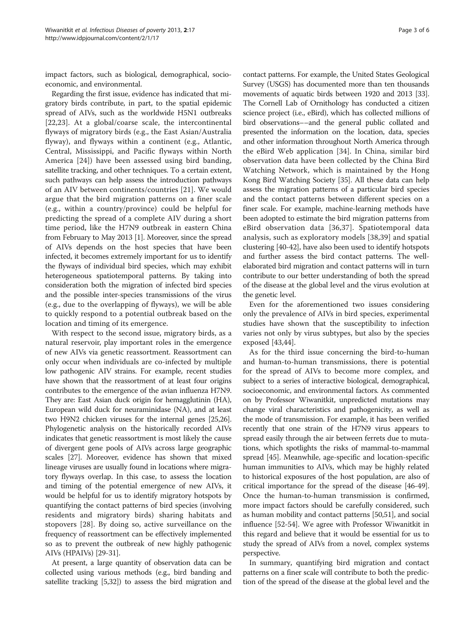impact factors, such as biological, demographical, socioeconomic, and environmental.

Regarding the first issue, evidence has indicated that migratory birds contribute, in part, to the spatial epidemic spread of AIVs, such as the worldwide H5N1 outbreaks [[22,23](#page-4-0)]. At a global/coarse scale, the intercontinental flyways of migratory birds (e.g., the East Asian/Australia flyway), and flyways within a continent (e.g., Atlantic, Central, Mississippi, and Pacific flyways within North America [[24\]](#page-4-0)) have been assessed using bird banding, satellite tracking, and other techniques. To a certain extent, such pathways can help assess the introduction pathways of an AIV between continents/countries [[21\]](#page-4-0). We would argue that the bird migration patterns on a finer scale (e.g., within a country/province) could be helpful for predicting the spread of a complete AIV during a short time period, like the H7N9 outbreak in eastern China from February to May 2013 [[1\]](#page-4-0). Moreover, since the spread of AIVs depends on the host species that have been infected, it becomes extremely important for us to identify the flyways of individual bird species, which may exhibit heterogeneous spatiotemporal patterns. By taking into consideration both the migration of infected bird species and the possible inter-species transmissions of the virus (e.g., due to the overlapping of flyways), we will be able to quickly respond to a potential outbreak based on the location and timing of its emergence.

With respect to the second issue, migratory birds, as a natural reservoir, play important roles in the emergence of new AIVs via genetic reassortment. Reassortment can only occur when individuals are co-infected by multiple low pathogenic AIV strains. For example, recent studies have shown that the reassortment of at least four origins contributes to the emergence of the avian influenza H7N9. They are: East Asian duck origin for hemagglutinin (HA), European wild duck for neuraminidase (NA), and at least two H9N2 chicken viruses for the internal genes [\[25,26](#page-4-0)]. Phylogenetic analysis on the historically recorded AIVs indicates that genetic reassortment is most likely the cause of divergent gene pools of AIVs across large geographic scales [\[27\]](#page-4-0). Moreover, evidence has shown that mixed lineage viruses are usually found in locations where migratory flyways overlap. In this case, to assess the location and timing of the potential emergence of new AIVs, it would be helpful for us to identify migratory hotspots by quantifying the contact patterns of bird species (involving residents and migratory birds) sharing habitats and stopovers [[28\]](#page-5-0). By doing so, active surveillance on the frequency of reassortment can be effectively implemented so as to prevent the outbreak of new highly pathogenic AIVs (HPAIVs) [\[29-31\]](#page-5-0).

At present, a large quantity of observation data can be collected using various methods (e.g., bird banding and satellite tracking [[5,](#page-4-0)[32](#page-5-0)]) to assess the bird migration and

contact patterns. For example, the United States Geological Survey (USGS) has documented more than ten thousands movements of aquatic birds between 1920 and 2013 [\[33](#page-5-0)]. The Cornell Lab of Ornithology has conducted a citizen science project (i.e., eBird), which has collected millions of bird observations––and the general public collated and presented the information on the location, data, species and other information throughout North America through the eBird Web application [\[34](#page-5-0)]. In China, similar bird observation data have been collected by the China Bird Watching Network, which is maintained by the Hong Kong Bird Watching Society [[35\]](#page-5-0). All these data can help assess the migration patterns of a particular bird species and the contact patterns between different species on a finer scale. For example, machine-learning methods have been adopted to estimate the bird migration patterns from eBird observation data [[36,37\]](#page-5-0). Spatiotemporal data analysis, such as exploratory models [\[38](#page-5-0),[39\]](#page-5-0) and spatial clustering [\[40](#page-5-0)-[42](#page-5-0)], have also been used to identify hotspots and further assess the bird contact patterns. The wellelaborated bird migration and contact patterns will in turn contribute to our better understanding of both the spread of the disease at the global level and the virus evolution at the genetic level.

Even for the aforementioned two issues considering only the prevalence of AIVs in bird species, experimental studies have shown that the susceptibility to infection varies not only by virus subtypes, but also by the species exposed [[43,44\]](#page-5-0).

As for the third issue concerning the bird-to-human and human-to-human transmissions, there is potential for the spread of AIVs to become more complex, and subject to a series of interactive biological, demographical, socioeconomic, and environmental factors. As commented on by Professor Wiwanitkit, unpredicted mutations may change viral characteristics and pathogenicity, as well as the mode of transmission. For example, it has been verified recently that one strain of the H7N9 virus appears to spread easily through the air between ferrets due to mutations, which spotlights the risks of mammal-to-mammal spread [\[45](#page-5-0)]. Meanwhile, age-specific and location-specific human immunities to AIVs, which may be highly related to historical exposures of the host population, are also of critical importance for the spread of the disease [[46](#page-5-0)-[49](#page-5-0)]. Once the human-to-human transmission is confirmed, more impact factors should be carefully considered, such as human mobility and contact patterns [[50,51](#page-5-0)], and social influence [[52](#page-5-0)-[54](#page-5-0)]. We agree with Professor Wiwanitkit in this regard and believe that it would be essential for us to study the spread of AIVs from a novel, complex systems perspective.

In summary, quantifying bird migration and contact patterns on a finer scale will contribute to both the prediction of the spread of the disease at the global level and the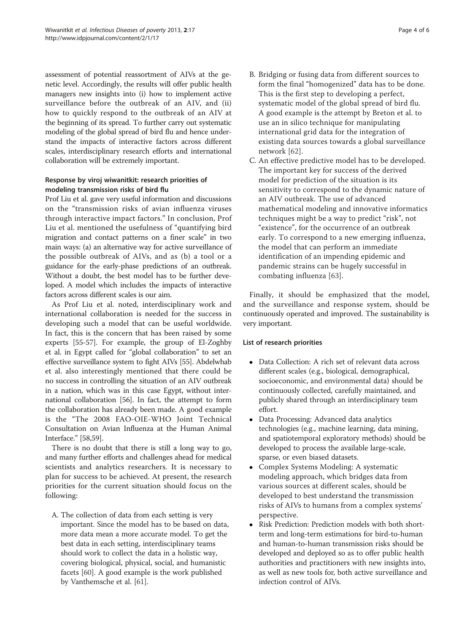assessment of potential reassortment of AIVs at the genetic level. Accordingly, the results will offer public health managers new insights into (i) how to implement active surveillance before the outbreak of an AIV, and (ii) how to quickly respond to the outbreak of an AIV at the beginning of its spread. To further carry out systematic modeling of the global spread of bird flu and hence understand the impacts of interactive factors across different scales, interdisciplinary research efforts and international collaboration will be extremely important.

# Response by viroj wiwanitkit: research priorities of modeling transmission risks of bird flu

Prof Liu et al. gave very useful information and discussions on the "transmission risks of avian influenza viruses through interactive impact factors." In conclusion, Prof Liu et al. mentioned the usefulness of "quantifying bird migration and contact patterns on a finer scale" in two main ways: (a) an alternative way for active surveillance of the possible outbreak of AIVs, and as (b) a tool or a guidance for the early-phase predictions of an outbreak. Without a doubt, the best model has to be further developed. A model which includes the impacts of interactive factors across different scales is our aim.

As Prof Liu et al. noted, interdisciplinary work and international collaboration is needed for the success in developing such a model that can be useful worldwide. In fact, this is the concern that has been raised by some experts [\[55-57](#page-5-0)]. For example, the group of El-Zoghby et al. in Egypt called for "global collaboration" to set an effective surveillance system to fight AIVs [\[55\]](#page-5-0). Abdelwhab et al. also interestingly mentioned that there could be no success in controlling the situation of an AIV outbreak in a nation, which was in this case Egypt, without international collaboration [\[56\]](#page-5-0). In fact, the attempt to form the collaboration has already been made. A good example is the "The 2008 FAO-OIE-WHO Joint Technical Consultation on Avian Influenza at the Human Animal Interface." [\[58,59](#page-5-0)].

There is no doubt that there is still a long way to go, and many further efforts and challenges ahead for medical scientists and analytics researchers. It is necessary to plan for success to be achieved. At present, the research priorities for the current situation should focus on the following:

A. The collection of data from each setting is very important. Since the model has to be based on data, more data mean a more accurate model. To get the best data in each setting, interdisciplinary teams should work to collect the data in a holistic way, covering biological, physical, social, and humanistic facets [\[60\]](#page-5-0). A good example is the work published by Vanthemsche et al. [\[61\]](#page-5-0).

- B. Bridging or fusing data from different sources to form the final "homogenized" data has to be done. This is the first step to developing a perfect, systematic model of the global spread of bird flu. A good example is the attempt by Breton et al. to use an in silico technique for manipulating international grid data for the integration of existing data sources towards a global surveillance network [[62\]](#page-5-0).
- C. An effective predictive model has to be developed. The important key for success of the derived model for prediction of the situation is its sensitivity to correspond to the dynamic nature of an AIV outbreak. The use of advanced mathematical modeling and innovative informatics techniques might be a way to predict "risk", not "existence", for the occurrence of an outbreak early. To correspond to a new emerging influenza, the model that can perform an immediate identification of an impending epidemic and pandemic strains can be hugely successful in combating influenza [\[63](#page-5-0)].

Finally, it should be emphasized that the model, and the surveillance and response system, should be continuously operated and improved. The sustainability is very important.

## List of research priorities

- Data Collection: A rich set of relevant data across different scales (e.g., biological, demographical, socioeconomic, and environmental data) should be continuously collected, carefully maintained, and publicly shared through an interdisciplinary team effort.
- Data Processing: Advanced data analytics technologies (e.g., machine learning, data mining, and spatiotemporal exploratory methods) should be developed to process the available large-scale, sparse, or even biased datasets.
- Complex Systems Modeling: A systematic modeling approach, which bridges data from various sources at different scales, should be developed to best understand the transmission risks of AIVs to humans from a complex systems' perspective.
- Risk Prediction: Prediction models with both shortterm and long-term estimations for bird-to-human and human-to-human transmission risks should be developed and deployed so as to offer public health authorities and practitioners with new insights into, as well as new tools for, both active surveillance and infection control of AIVs.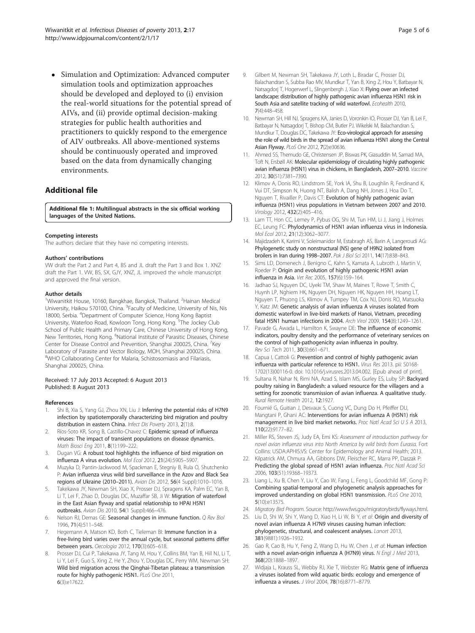<span id="page-4-0"></span> Simulation and Optimization: Advanced computer simulation tools and optimization approaches should be developed and deployed to (i) envision the real-world situations for the potential spread of AIVs, and (ii) provide optimal decision-making strategies for public health authorities and practitioners to quickly respond to the emergence of AIV outbreaks. All above-mentioned systems should be continuously operated and improved based on the data from dynamically changing environments.

# Additional file

[Additional file 1:](http://www.biomedcentral.com/content/supplementary/2049-9957-2-17-S1.pdf) Multilingual abstracts in the six official working languages of the United Nations.

#### Competing interests

The authors declare that they have no competing interests.

#### Authors' contributions

VW draft the Part 2 and Part 4, BS and JL draft the Part 3 and Box 1. XNZ draft the Part 1. VW, BS, SX, GJY, XNZ, JL improved the whole manuscript and approved the final version.

#### Author details

<sup>1</sup>Wiwanitkit House, 10160, Bangkhae, Bangkok, Thailand. <sup>2</sup>Hainan Medical University, Haikou 570100, China. <sup>3</sup> Faculty of Medicine, University of Nis, Nis 18000, Serbia. <sup>4</sup>Department of Computer Science, Hong Kong Baptist University, Waterloo Road, Kowloon Tong, Hong Kong. <sup>5</sup>The Jockey Club School of Public Health and Primary Care, Chinese University of Hong Kong, New Territories, Hong Kong. <sup>6</sup>National Institute of Parasitic Diseases, Chinese Center for Disease Control and Prevention, Shanghai 200025, China. <sup>7</sup>Key Laboratory of Parasite and Vector Biology, MOH, Shanghai 200025, China. 8 WHO Collaborating Center for Malaria, Schistosomiasis and Filariasis, Shanghai 200025, China.

#### Received: 17 July 2013 Accepted: 6 August 2013 Published: 8 August 2013

#### References

- 1. Shi B, Xia S, Yang GJ, Zhou XN, Liu J: Inferring the potential risks of H7N9 infection by spatiotemporally characterizing bird migration and poultry distribution in eastern China. Infect Dis Poverty 2013, 2(1):8.
- 2. Ríos-Soto KR, Song B, Castillo-Chavez C: Epidemic spread of influenza viruses: The impact of transient populations on disease dynamics. Math Biosci Eng 2011, 8(1):199–222.
- 3. Dugan VG: A robust tool highlights the influence of bird migration on influenza A virus evolution. Mol Ecol 2012, 21(24):5905–5907.
- 4. Muzyka D, Pantin-Jackwood M, Spackman E, Stegniy B, Rula O, Shutchenko P: Avian influenza virus wild bird surveillance in the Azov and Black Sea regions of Ukraine (2010–2011). Avian Dis 2012, 56(4 Suppl):1010–1016.
- Takekawa JY, Newman SH, Xiao X, Prosser DJ, Spragens KA, Palm EC, Yan B, Li T, Lei F, Zhao D, Douglas DC, Muzaffar SB, Ji W: Migration of waterfowl in the East Asian flyway and spatial relationship to HPAI H5N1 outbreaks. Avian Dis 2010, 54(1 Suppl):466–476.
- Nelson RJ, Demas GE: Seasonal changes in immune function. Q Rev Biol 1996, 71(4):511–548.
- 7. Hegemann A, Matson KD, Both C, Tieleman BI: Immune function in a free-living bird varies over the annual cycle, but seasonal patterns differ between years. Oecologia 2012, 170(3):605–618.
- Prosser DJ, Cui P, Takekawa JY, Tang M, Hou Y, Collins BM, Yan B, Hill NJ, Li T, Li Y, Lei F, Guo S, Xing Z, He Y, Zhou Y, Douglas DC, Perry WM, Newman SH: Wild bird migration across the Qinghai-Tibetan plateau: a transmission route for highly pathogenic H5N1. PLoS One 2011, 6(3):e17622.
- 9. Gilbert M, Newman SH, Takekawa JY, Loth L, Biradar C, Prosser DJ, Balachandran S, Subba Rao MV, Mundkur T, Yan B, Xing Z, Hou Y, Batbayar N, Natsagdorj T, Hogerwerf L, Slingenbergh J, Xiao X: Flying over an infected landscape: distribution of highly pathogenic avian influenza H5N1 risk in South Asia and satellite tracking of wild waterfowl. Ecohealth 2010, 7(4):448–458.
- 10. Newman SH, Hill NJ, Spragens KA, Janies D, Voronkin IO, Prosser DJ, Yan B, Lei F, Batbayar N, Natsagdorj T, Bishop CM, Butler PJ, Wikelski M, Balachandran S, Mundkur T, Douglas DC, Takekawa JY: Eco-virological approach for assessing the role of wild birds in the spread of avian influenza H5N1 along the Central Asian Flyway. PLoS One 2012, 7(2):e30636.
- 11. Ahmed SS, Themudo GE, Christensen JP, Biswas PK, Giasuddin M, Samad MA, Toft N, Ersbøll AK: Molecular epidemiology of circulating highly pathogenic avian influenza (H5N1) virus in chickens, in Bangladesh, 2007–2010. Vaccine 2012, 30(51):7381–7390.
- 12. Klimov A, Donis RO, Lindstrom SE, York IA, Shu B, Loughlin R, Ferdinand K, Vui DT, Simpson N, Huong NT, Balish A, Dang NH, Jones J, Hoa Do T, Nguyen T, Rivailler P, Davis CT: Evolution of highly pathogenic avian influenza (H5N1) virus populations in Vietnam between 2007 and 2010. Virology 2012, 432(2):405–416.
- 13. Lam TT, Hon CC, Lemey P, Pybus OG, Shi M, Tun HM, Li J, Jiang J, Holmes EC, Leung FC: Phylodynamics of H5N1 avian influenza virus in Indonesia. Mol Ecol 2012, 21(12):3062–3077.
- 14. Majidzadeh K, Karimi V, Soleimanidor M, Estabragh AS, Barin A, Langeroudi AG: Phylogenetic study on nonstructural (NS) gene of H9N2 isolated from broilers in Iran during 1998–2007. Pak J Biol Sci 2011, 14(17):838–843.
- 15. Sims LD, Domenech J, Benigno C, Kahn S, Kamata A, Lubroth J, Martin V, Roeder P: Origin and evolution of highly pathogenic H5N1 avian influenza in Asia. Vet Rec 2005, 157(6):159–164.
- 16. Jadhao SJ, Nguyen DC, Uyeki TM, Shaw M, Maines T, Rowe T, Smith C, Huynh LP, Nghiem HK, Nguyen DH, Nguyen HK, Nguyen HH, Hoang LT, Nguyen T, Phuong LS, Klimov A, Tumpey TM, Cox NJ, Donis RO, Matsuoka Y, Katz JM: Genetic analysis of avian influenza A viruses isolated from domestic waterfowl in live-bird markets of Hanoi, Vietnam, preceding fatal H5N1 human infections in 2004. Arch Virol 2009, 154(8):1249–1261.
- 17. Pavade G, Awada L, Hamilton K, Swayne DE: The influence of economic indicators, poultry density and the performance of veterinary services on the control of high-pathogenicity avian influenza in poultry. Rev Sci Tech 2011, 30(3):661–671.
- 18. Capua I, Cattoli G: Prevention and control of highly pathogenic avian influenza with particular reference to H5N1. Virus Res 2013. pii: S0168-1702(13)00116-0. doi: [10.1016/j.virusres.2013.04.002](http://dx.doi.org/10.1016/j.virusres.2013.04.002). [Epub ahead of print].
- 19. Sultana R, Nahar N, Rimi NA, Azad S, Islam MS, Gurley ES, Luby SP: Backyard poultry raising in Bangladesh: a valued resource for the villagers and a setting for zoonotic transmission of avian influenza. A qualitative study. Rural Remote Health 2012, 12:1927.
- 20. Fournié G, Guitian J, Desvaux S, Cuong VC, Dung Do H, Pfeiffer DU, Mangtani P, Ghani AC: Interventions for avian influenza A (H5N1) risk management in live bird market networks. Proc Natl Acad Sci U S A 2013, 110(22):9177–82.
- 21. Miller RS, Steven JS, Judy EA, Emi KS: Assessment of introduction pathway for novel avian influenza virus into North America by wild birds from Eurasia. Fort Collins: USDA:APHIS:VS: Center for Epidemology and Animal Health; 2013.
- 22. Kilpatrick AM, Chmura AA, Gibbons DW, Fleischer RC, Marra PP, Daszak P: Predicting the global spread of H5N1 avian influenza. Proc Natl Acad Sci 2006, 103(51):19368–19373.
- 23. Liang L, Xu B, Chen Y, Liu Y, Cao W, Fang L, Feng L, Goodchild MF, Gong P: Combining spatial-temporal and phylogenetic analysis approaches for improved understanding on global H5N1 transmission. PLoS One 2010, 5(10):e13575.
- 24. Migratory Bird Program. Source: [http://www.fws.gov/migratorybirds/flyways.html.](http://www.fws.gov/migratorybirds/flyways.html)
- 25. Liu D, Shi W, Shi Y, Wang D, Xiao H, Li W, Bi Y, et al: Origin and diversity of novel avian influenza A H7N9 viruses causing human infection: phylogenetic, structural, and coalescent analyses. Lancet 2013, 381(9881):1926–1932.
- 26. Gao R, Cao B, Hu Y, Feng Z, Wang D, Hu W, Chen J, et al: Human infection with a novel avian-origin influenza A (H7N9) virus. N Engl J Med 2013, 368(20):1888–1897.
- 27. Widjaja L, Krauss SL, Webby RJ, Xie T, Webster RG: Matrix gene of influenza a viruses isolated from wild aquatic birds: ecology and emergence of influenza a viruses. J Virol 2004, 78(16):8771–8779.